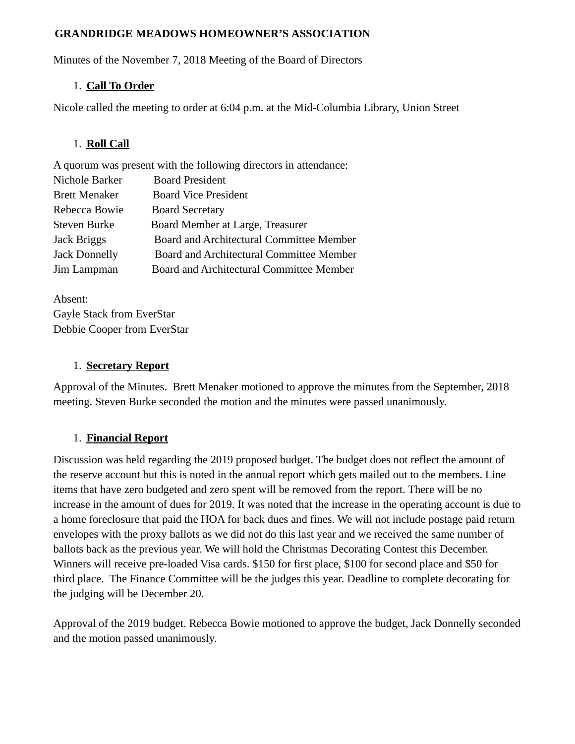#### **GRANDRIDGE MEADOWS HOMEOWNER'S ASSOCIATION**

Minutes of the November 7, 2018 Meeting of the Board of Directors

## 1. **Call To Order**

Nicole called the meeting to order at 6:04 p.m. at the Mid-Columbia Library, Union Street

## 1. **Roll Call**

A quorum was present with the following directors in attendance: Nichole Barker Board President Brett Menaker Board Vice President Rebecca Bowie Board Secretary Steven Burke Board Member at Large, Treasurer Jack Briggs Board and Architectural Committee Member Jack Donnelly Board and Architectural Committee Member Jim Lampman Board and Architectural Committee Member

Absent: Gayle Stack from EverStar Debbie Cooper from EverStar

#### 1. **Secretary Report**

Approval of the Minutes. Brett Menaker motioned to approve the minutes from the September, 2018 meeting. Steven Burke seconded the motion and the minutes were passed unanimously.

## 1. **Financial Report**

Discussion was held regarding the 2019 proposed budget. The budget does not reflect the amount of the reserve account but this is noted in the annual report which gets mailed out to the members. Line items that have zero budgeted and zero spent will be removed from the report. There will be no increase in the amount of dues for 2019. It was noted that the increase in the operating account is due to a home foreclosure that paid the HOA for back dues and fines. We will not include postage paid return envelopes with the proxy ballots as we did not do this last year and we received the same number of ballots back as the previous year. We will hold the Christmas Decorating Contest this December. Winners will receive pre-loaded Visa cards. \$150 for first place, \$100 for second place and \$50 for third place. The Finance Committee will be the judges this year. Deadline to complete decorating for the judging will be December 20.

Approval of the 2019 budget. Rebecca Bowie motioned to approve the budget, Jack Donnelly seconded and the motion passed unanimously.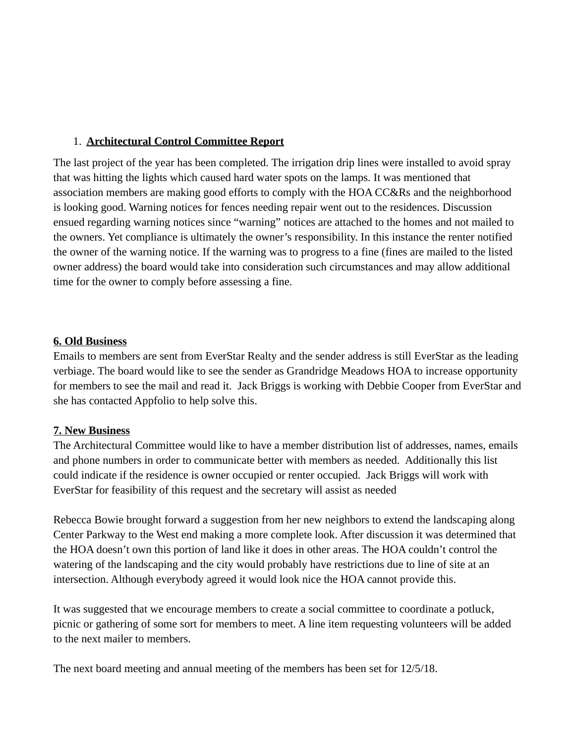## 1. **Architectural Control Committee Report**

The last project of the year has been completed. The irrigation drip lines were installed to avoid spray that was hitting the lights which caused hard water spots on the lamps. It was mentioned that association members are making good efforts to comply with the HOA CC&Rs and the neighborhood is looking good. Warning notices for fences needing repair went out to the residences. Discussion ensued regarding warning notices since "warning" notices are attached to the homes and not mailed to the owners. Yet compliance is ultimately the owner's responsibility. In this instance the renter notified the owner of the warning notice. If the warning was to progress to a fine (fines are mailed to the listed owner address) the board would take into consideration such circumstances and may allow additional time for the owner to comply before assessing a fine.

#### **6. Old Business**

Emails to members are sent from EverStar Realty and the sender address is still EverStar as the leading verbiage. The board would like to see the sender as Grandridge Meadows HOA to increase opportunity for members to see the mail and read it. Jack Briggs is working with Debbie Cooper from EverStar and she has contacted Appfolio to help solve this.

## **7. New Business**

The Architectural Committee would like to have a member distribution list of addresses, names, emails and phone numbers in order to communicate better with members as needed. Additionally this list could indicate if the residence is owner occupied or renter occupied. Jack Briggs will work with EverStar for feasibility of this request and the secretary will assist as needed

Rebecca Bowie brought forward a suggestion from her new neighbors to extend the landscaping along Center Parkway to the West end making a more complete look. After discussion it was determined that the HOA doesn't own this portion of land like it does in other areas. The HOA couldn't control the watering of the landscaping and the city would probably have restrictions due to line of site at an intersection. Although everybody agreed it would look nice the HOA cannot provide this.

It was suggested that we encourage members to create a social committee to coordinate a potluck, picnic or gathering of some sort for members to meet. A line item requesting volunteers will be added to the next mailer to members.

The next board meeting and annual meeting of the members has been set for 12/5/18.